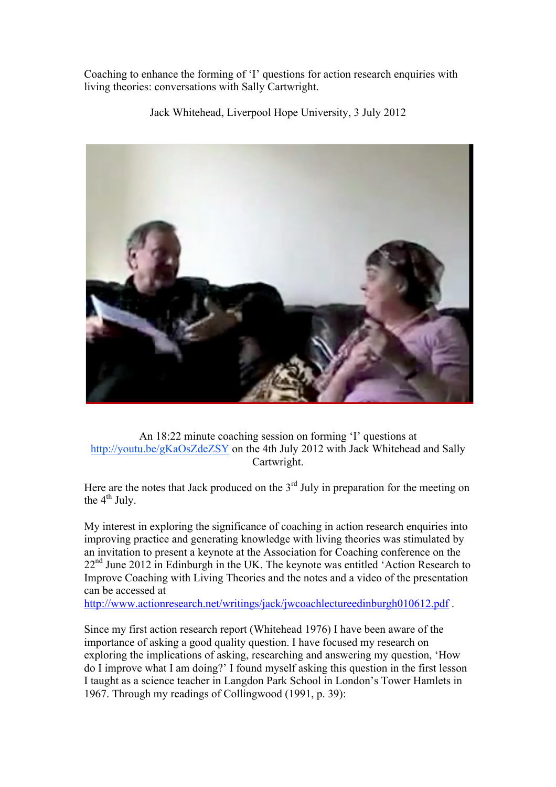Coaching to enhance the forming of 'I' questions for action research enquiries with living theories: conversations with Sally Cartwright.

Jack Whitehead, Liverpool Hope University, 3 July 2012



An 18:22 minute coaching session on forming 'I' questions at http://youtu.be/gKaOsZdeZSY on the 4th July 2012 with Jack Whitehead and Sally Cartwright.

Here are the notes that Jack produced on the  $3<sup>rd</sup>$  July in preparation for the meeting on the  $4^{th}$  July.

My interest in exploring the significance of coaching in action research enquiries into improving practice and generating knowledge with living theories was stimulated by an invitation to present a keynote at the Association for Coaching conference on the  $22<sup>nd</sup>$  June 2012 in Edinburgh in the UK. The keynote was entitled 'Action Research to Improve Coaching with Living Theories and the notes and a video of the presentation can be accessed at

http://www.actionresearch.net/writings/jack/jwcoachlectureedinburgh010612.pdf .

Since my first action research report (Whitehead 1976) I have been aware of the importance of asking a good quality question. I have focused my research on exploring the implications of asking, researching and answering my question, 'How do I improve what I am doing?' I found myself asking this question in the first lesson I taught as a science teacher in Langdon Park School in London's Tower Hamlets in 1967. Through my readings of Collingwood (1991, p. 39):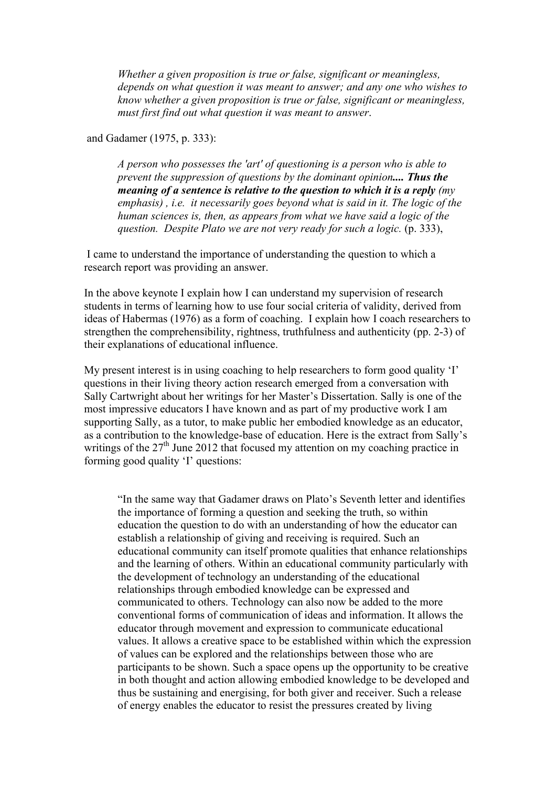*Whether a given proposition is true or false, significant or meaningless, depends on what question it was meant to answer; and any one who wishes to know whether a given proposition is true or false, significant or meaningless, must first find out what question it was meant to answer*.

and Gadamer (1975, p. 333):

*A person who possesses the 'art' of questioning is a person who is able to prevent the suppression of questions by the dominant opinion.... Thus the meaning of a sentence is relative to the question to which it is a reply (my emphasis) , i.e. it necessarily goes beyond what is said in it. The logic of the human sciences is, then, as appears from what we have said a logic of the question. Despite Plato we are not very ready for such a logic.* (p. 333),

 I came to understand the importance of understanding the question to which a research report was providing an answer.

In the above keynote I explain how I can understand my supervision of research students in terms of learning how to use four social criteria of validity, derived from ideas of Habermas (1976) as a form of coaching. I explain how I coach researchers to strengthen the comprehensibility, rightness, truthfulness and authenticity (pp. 2-3) of their explanations of educational influence.

My present interest is in using coaching to help researchers to form good quality 'I' questions in their living theory action research emerged from a conversation with Sally Cartwright about her writings for her Master's Dissertation. Sally is one of the most impressive educators I have known and as part of my productive work I am supporting Sally, as a tutor, to make public her embodied knowledge as an educator, as a contribution to the knowledge-base of education. Here is the extract from Sally's writings of the  $27<sup>th</sup>$  June 2012 that focused my attention on my coaching practice in forming good quality 'I' questions:

"In the same way that Gadamer draws on Plato's Seventh letter and identifies the importance of forming a question and seeking the truth, so within education the question to do with an understanding of how the educator can establish a relationship of giving and receiving is required. Such an educational community can itself promote qualities that enhance relationships and the learning of others. Within an educational community particularly with the development of technology an understanding of the educational relationships through embodied knowledge can be expressed and communicated to others. Technology can also now be added to the more conventional forms of communication of ideas and information. It allows the educator through movement and expression to communicate educational values. It allows a creative space to be established within which the expression of values can be explored and the relationships between those who are participants to be shown. Such a space opens up the opportunity to be creative in both thought and action allowing embodied knowledge to be developed and thus be sustaining and energising, for both giver and receiver. Such a release of energy enables the educator to resist the pressures created by living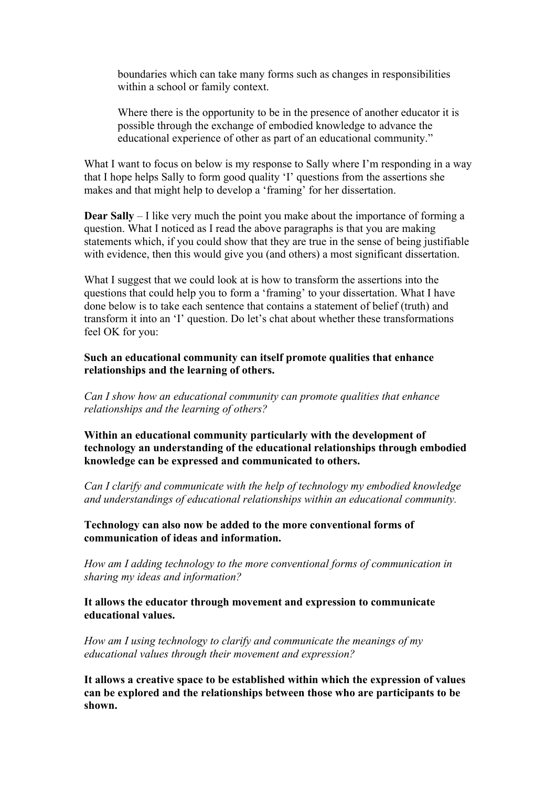boundaries which can take many forms such as changes in responsibilities within a school or family context.

Where there is the opportunity to be in the presence of another educator it is possible through the exchange of embodied knowledge to advance the educational experience of other as part of an educational community."

What I want to focus on below is my response to Sally where I'm responding in a way that I hope helps Sally to form good quality 'I' questions from the assertions she makes and that might help to develop a 'framing' for her dissertation.

**Dear Sally** – I like very much the point you make about the importance of forming a question. What I noticed as I read the above paragraphs is that you are making statements which, if you could show that they are true in the sense of being justifiable with evidence, then this would give you (and others) a most significant dissertation.

What I suggest that we could look at is how to transform the assertions into the questions that could help you to form a 'framing' to your dissertation. What I have done below is to take each sentence that contains a statement of belief (truth) and transform it into an 'I' question. Do let's chat about whether these transformations feel OK for you:

## **Such an educational community can itself promote qualities that enhance relationships and the learning of others.**

*Can I show how an educational community can promote qualities that enhance relationships and the learning of others?*

**Within an educational community particularly with the development of technology an understanding of the educational relationships through embodied knowledge can be expressed and communicated to others.** 

*Can I clarify and communicate with the help of technology my embodied knowledge and understandings of educational relationships within an educational community.*

**Technology can also now be added to the more conventional forms of communication of ideas and information.**

*How am I adding technology to the more conventional forms of communication in sharing my ideas and information?*

**It allows the educator through movement and expression to communicate educational values.** 

*How am I using technology to clarify and communicate the meanings of my educational values through their movement and expression?*

**It allows a creative space to be established within which the expression of values can be explored and the relationships between those who are participants to be shown.**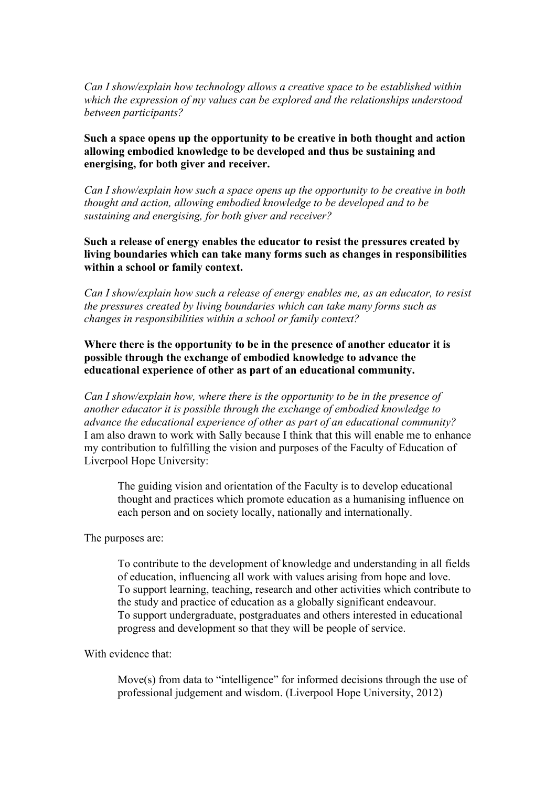*Can I show/explain how technology allows a creative space to be established within which the expression of my values can be explored and the relationships understood between participants?*

**Such a space opens up the opportunity to be creative in both thought and action allowing embodied knowledge to be developed and thus be sustaining and energising, for both giver and receiver.** 

*Can I show/explain how such a space opens up the opportunity to be creative in both thought and action, allowing embodied knowledge to be developed and to be sustaining and energising, for both giver and receiver?*

**Such a release of energy enables the educator to resist the pressures created by living boundaries which can take many forms such as changes in responsibilities within a school or family context.**

*Can I show/explain how such a release of energy enables me, as an educator, to resist the pressures created by living boundaries which can take many forms such as changes in responsibilities within a school or family context?*

**Where there is the opportunity to be in the presence of another educator it is possible through the exchange of embodied knowledge to advance the educational experience of other as part of an educational community.**

*Can I show/explain how, where there is the opportunity to be in the presence of another educator it is possible through the exchange of embodied knowledge to advance the educational experience of other as part of an educational community?* I am also drawn to work with Sally because I think that this will enable me to enhance my contribution to fulfilling the vision and purposes of the Faculty of Education of Liverpool Hope University:

The guiding vision and orientation of the Faculty is to develop educational thought and practices which promote education as a humanising influence on each person and on society locally, nationally and internationally.

The purposes are:

To contribute to the development of knowledge and understanding in all fields of education, influencing all work with values arising from hope and love. To support learning, teaching, research and other activities which contribute to the study and practice of education as a globally significant endeavour. To support undergraduate, postgraduates and others interested in educational progress and development so that they will be people of service.

With evidence that:

Move(s) from data to "intelligence" for informed decisions through the use of professional judgement and wisdom. (Liverpool Hope University, 2012)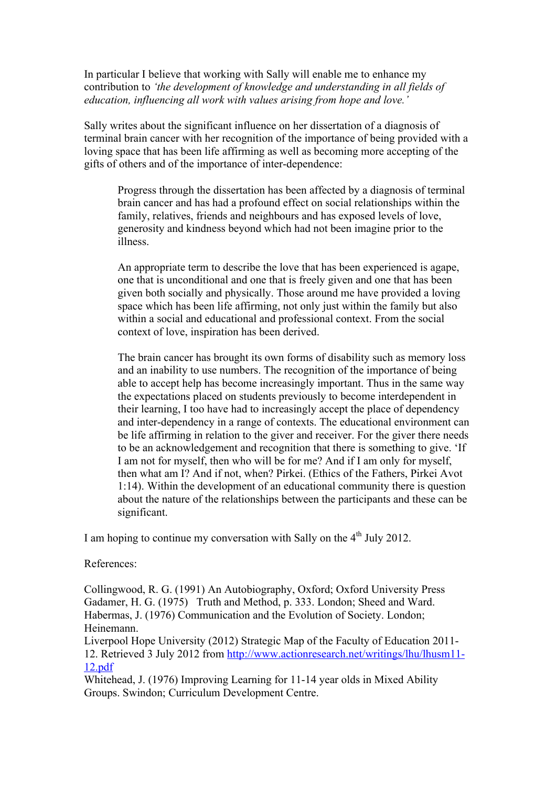In particular I believe that working with Sally will enable me to enhance my contribution to *'the development of knowledge and understanding in all fields of education, influencing all work with values arising from hope and love.'*

Sally writes about the significant influence on her dissertation of a diagnosis of terminal brain cancer with her recognition of the importance of being provided with a loving space that has been life affirming as well as becoming more accepting of the gifts of others and of the importance of inter-dependence:

Progress through the dissertation has been affected by a diagnosis of terminal brain cancer and has had a profound effect on social relationships within the family, relatives, friends and neighbours and has exposed levels of love, generosity and kindness beyond which had not been imagine prior to the illness.

An appropriate term to describe the love that has been experienced is agape, one that is unconditional and one that is freely given and one that has been given both socially and physically. Those around me have provided a loving space which has been life affirming, not only just within the family but also within a social and educational and professional context. From the social context of love, inspiration has been derived.

The brain cancer has brought its own forms of disability such as memory loss and an inability to use numbers. The recognition of the importance of being able to accept help has become increasingly important. Thus in the same way the expectations placed on students previously to become interdependent in their learning, I too have had to increasingly accept the place of dependency and inter-dependency in a range of contexts. The educational environment can be life affirming in relation to the giver and receiver. For the giver there needs to be an acknowledgement and recognition that there is something to give. 'If I am not for myself, then who will be for me? And if I am only for myself, then what am I? And if not, when? Pirkei. (Ethics of the Fathers, Pirkei Avot 1:14). Within the development of an educational community there is question about the nature of the relationships between the participants and these can be significant.

I am hoping to continue my conversation with Sally on the  $4<sup>th</sup>$  July 2012.

References:

Collingwood, R. G. (1991) An Autobiography, Oxford; Oxford University Press Gadamer, H. G. (1975) Truth and Method, p. 333. London; Sheed and Ward. Habermas, J. (1976) Communication and the Evolution of Society. London; Heinemann.

Liverpool Hope University (2012) Strategic Map of the Faculty of Education 2011- 12. Retrieved 3 July 2012 from http://www.actionresearch.net/writings/lhu/lhusm11- 12.pdf

Whitehead, J. (1976) Improving Learning for 11-14 year olds in Mixed Ability Groups. Swindon; Curriculum Development Centre.